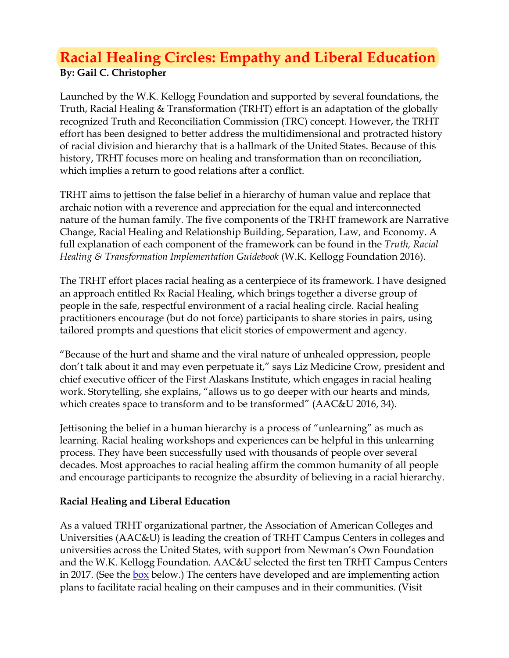# **Racial Healing Circles: Empathy and Liberal Education By: Gail C. Christopher**

Launched by the W.K. Kellogg Foundation and supported by several foundations, the Truth, Racial Healing & Transformation (TRHT) effort is an adaptation of the globally recognized Truth and Reconciliation Commission (TRC) concept. However, the TRHT effort has been designed to better address the multidimensional and protracted history of racial division and hierarchy that is a hallmark of the United States. Because of this history, TRHT focuses more on healing and transformation than on reconciliation, which implies a return to good relations after a conflict.

TRHT aims to jettison the false belief in a hierarchy of human value and replace that archaic notion with a reverence and appreciation for the equal and interconnected nature of the human family. The five components of the TRHT framework are Narrative Change, Racial Healing and Relationship Building, Separation, Law, and Economy. A full explanation of each component of the framework can be found in the *Truth, Racial Healing & Transformation Implementation Guidebook* (W.K. Kellogg Foundation 2016).

The TRHT effort places racial healing as a centerpiece of its framework. I have designed an approach entitled Rx Racial Healing, which brings together a diverse group of people in the safe, respectful environment of a racial healing circle. Racial healing practitioners encourage (but do not force) participants to share stories in pairs, using tailored prompts and questions that elicit stories of empowerment and agency.

"Because of the hurt and shame and the viral nature of unhealed oppression, people don't talk about it and may even perpetuate it," says Liz Medicine Crow, president and chief executive officer of the First Alaskans Institute, which engages in racial healing work. Storytelling, she explains, "allows us to go deeper with our hearts and minds, which creates space to transform and to be transformed" (AAC&U 2016, 34).

Jettisoning the belief in a human hierarchy is a process of "unlearning" as much as learning. Racial healing workshops and experiences can be helpful in this unlearning process. They have been successfully used with thousands of people over several decades. Most approaches to racial healing affirm the common humanity of all people and encourage participants to recognize the absurdity of believing in a racial hierarchy.

# **Racial Healing and Liberal Education**

As a valued TRHT organizational partner, the Association of American Colleges and Universities (AAC&U) is leading the creation of TRHT Campus Centers in colleges and universities across the United States, with support from Newman's Own Foundation and the W.K. Kellogg Foundation. AAC&U selected the first ten TRHT Campus Centers in 2017. (See the **box** below.) The centers have developed and are implementing action plans to facilitate racial healing on their campuses and in their communities. (Visit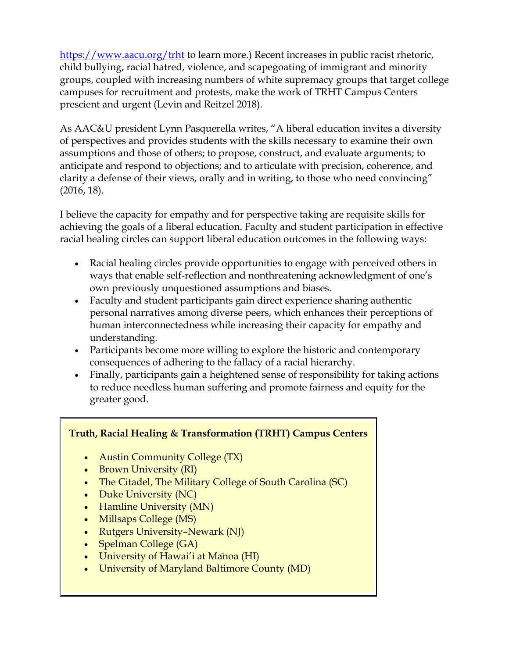<https://www.aacu.org/trht> to learn more.) Recent increases in public racist rhetoric, child bullying, racial hatred, violence, and scapegoating of immigrant and minority groups, coupled with increasing numbers of white supremacy groups that target college campuses for recruitment and protests, make the work of TRHT Campus Centers prescient and urgent (Levin and Reitzel 2018).

As AAC&U president Lynn Pasquerella writes, "A liberal education invites a diversity of perspectives and provides students with the skills necessary to examine their own assumptions and those of others; to propose, construct, and evaluate arguments; to anticipate and respond to objections; and to articulate with precision, coherence, and clarity a defense of their views, orally and in writing, to those who need convincing" (2016, 18).

I believe the capacity for empathy and for perspective taking are requisite skills for achieving the goals of a liberal education. Faculty and student participation in effective racial healing circles can support liberal education outcomes in the following ways:

- Racial healing circles provide opportunities to engage with perceived others in ways that enable self-reflection and nonthreatening acknowledgment of one's own previously unquestioned assumptions and biases.
- Faculty and student participants gain direct experience sharing authentic personal narratives among diverse peers, which enhances their perceptions of human interconnectedness while increasing their capacity for empathy and understanding.
- Participants become more willing to explore the historic and contemporary consequences of adhering to the fallacy of a racial hierarchy.
- Finally, participants gain a heightened sense of responsibility for taking actions to reduce needless human suffering and promote fairness and equity for the greater good.

# **Truth, Racial Healing & Transformation (TRHT) Campus Centers**

- Austin Community College (TX)
- Brown University (RI)
- The Citadel, The Military College of South Carolina (SC)
- Duke University (NC)
- Hamline University (MN)
- Millsaps College (MS)
- Rutgers University–Newark (NJ)
- Spelman College (GA)
- University of Hawai'i at Manoa (HI)
- University of Maryland Baltimore County (MD)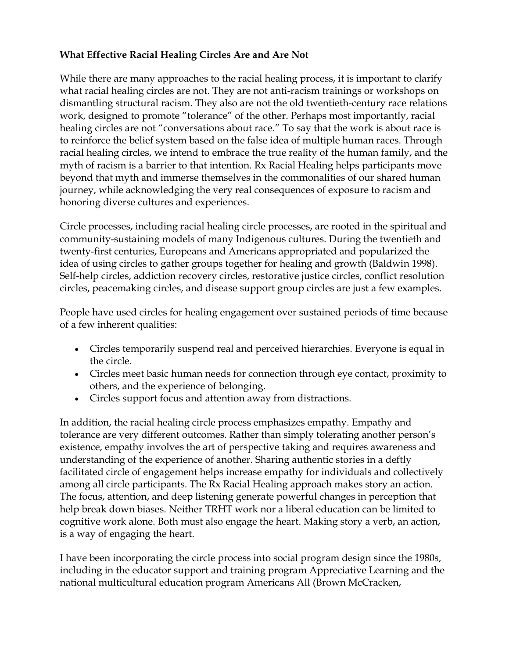## **What Effective Racial Healing Circles Are and Are Not**

While there are many approaches to the racial healing process, it is important to clarify what racial healing circles are not. They are not anti-racism trainings or workshops on dismantling structural racism. They also are not the old twentieth-century race relations work, designed to promote "tolerance" of the other. Perhaps most importantly, racial healing circles are not "conversations about race." To say that the work is about race is to reinforce the belief system based on the false idea of multiple human races. Through racial healing circles, we intend to embrace the true reality of the human family, and the myth of racism is a barrier to that intention. Rx Racial Healing helps participants move beyond that myth and immerse themselves in the commonalities of our shared human journey, while acknowledging the very real consequences of exposure to racism and honoring diverse cultures and experiences.

Circle processes, including racial healing circle processes, are rooted in the spiritual and community-sustaining models of many Indigenous cultures. During the twentieth and twenty-first centuries, Europeans and Americans appropriated and popularized the idea of using circles to gather groups together for healing and growth (Baldwin 1998). Self-help circles, addiction recovery circles, restorative justice circles, conflict resolution circles, peacemaking circles, and disease support group circles are just a few examples.

People have used circles for healing engagement over sustained periods of time because of a few inherent qualities:

- Circles temporarily suspend real and perceived hierarchies. Everyone is equal in the circle.
- Circles meet basic human needs for connection through eye contact, proximity to others, and the experience of belonging.
- Circles support focus and attention away from distractions.

In addition, the racial healing circle process emphasizes empathy. Empathy and tolerance are very different outcomes. Rather than simply tolerating another person's existence, empathy involves the art of perspective taking and requires awareness and understanding of the experience of another. Sharing authentic stories in a deftly facilitated circle of engagement helps increase empathy for individuals and collectively among all circle participants. The Rx Racial Healing approach makes story an action. The focus, attention, and deep listening generate powerful changes in perception that help break down biases. Neither TRHT work nor a liberal education can be limited to cognitive work alone. Both must also engage the heart. Making story a verb, an action, is a way of engaging the heart.

I have been incorporating the circle process into social program design since the 1980s, including in the educator support and training program Appreciative Learning and the national multicultural education program Americans All (Brown McCracken,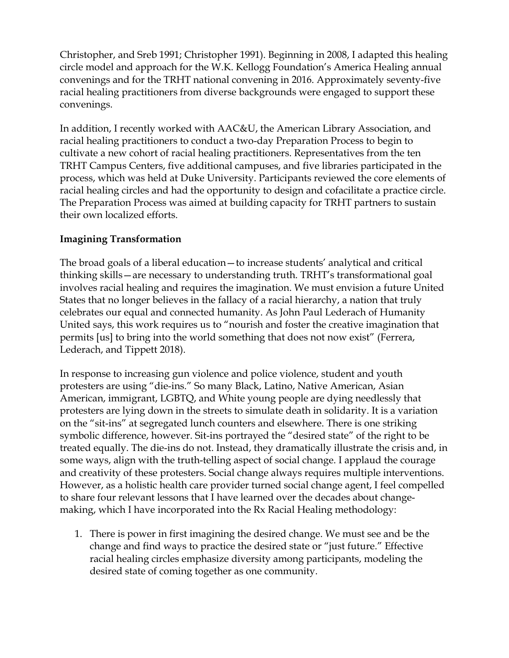Christopher, and Sreb 1991; Christopher 1991). Beginning in 2008, I adapted this healing circle model and approach for the W.K. Kellogg Foundation's America Healing annual convenings and for the TRHT national convening in 2016. Approximately seventy-five racial healing practitioners from diverse backgrounds were engaged to support these convenings.

In addition, I recently worked with AAC&U, the American Library Association, and racial healing practitioners to conduct a two-day Preparation Process to begin to cultivate a new cohort of racial healing practitioners. Representatives from the ten TRHT Campus Centers, five additional campuses, and five libraries participated in the process, which was held at Duke University. Participants reviewed the core elements of racial healing circles and had the opportunity to design and cofacilitate a practice circle. The Preparation Process was aimed at building capacity for TRHT partners to sustain their own localized efforts.

#### **Imagining Transformation**

The broad goals of a liberal education—to increase students' analytical and critical thinking skills—are necessary to understanding truth. TRHT's transformational goal involves racial healing and requires the imagination. We must envision a future United States that no longer believes in the fallacy of a racial hierarchy, a nation that truly celebrates our equal and connected humanity. As John Paul Lederach of Humanity United says, this work requires us to "nourish and foster the creative imagination that permits [us] to bring into the world something that does not now exist" (Ferrera, Lederach, and Tippett 2018).

In response to increasing gun violence and police violence, student and youth protesters are using "die-ins." So many Black, Latino, Native American, Asian American, immigrant, LGBTQ, and White young people are dying needlessly that protesters are lying down in the streets to simulate death in solidarity. It is a variation on the "sit-ins" at segregated lunch counters and elsewhere. There is one striking symbolic difference, however. Sit-ins portrayed the "desired state" of the right to be treated equally. The die-ins do not. Instead, they dramatically illustrate the crisis and, in some ways, align with the truth-telling aspect of social change. I applaud the courage and creativity of these protesters. Social change always requires multiple interventions. However, as a holistic health care provider turned social change agent, I feel compelled to share four relevant lessons that I have learned over the decades about changemaking, which I have incorporated into the Rx Racial Healing methodology:

1. There is power in first imagining the desired change. We must see and be the change and find ways to practice the desired state or "just future." Effective racial healing circles emphasize diversity among participants, modeling the desired state of coming together as one community.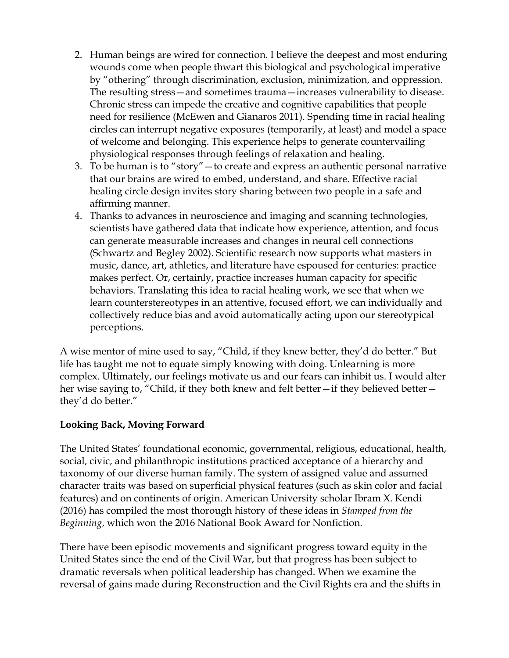- 2. Human beings are wired for connection. I believe the deepest and most enduring wounds come when people thwart this biological and psychological imperative by "othering" through discrimination, exclusion, minimization, and oppression. The resulting stress—and sometimes trauma—increases vulnerability to disease. Chronic stress can impede the creative and cognitive capabilities that people need for resilience (McEwen and Gianaros 2011). Spending time in racial healing circles can interrupt negative exposures (temporarily, at least) and model a space of welcome and belonging. This experience helps to generate countervailing physiological responses through feelings of relaxation and healing.
- 3. To be human is to "story"—to create and express an authentic personal narrative that our brains are wired to embed, understand, and share. Effective racial healing circle design invites story sharing between two people in a safe and affirming manner.
- 4. Thanks to advances in neuroscience and imaging and scanning technologies, scientists have gathered data that indicate how experience, attention, and focus can generate measurable increases and changes in neural cell connections (Schwartz and Begley 2002). Scientific research now supports what masters in music, dance, art, athletics, and literature have espoused for centuries: practice makes perfect. Or, certainly, practice increases human capacity for specific behaviors. Translating this idea to racial healing work, we see that when we learn counterstereotypes in an attentive, focused effort, we can individually and collectively reduce bias and avoid automatically acting upon our stereotypical perceptions.

A wise mentor of mine used to say, "Child, if they knew better, they'd do better." But life has taught me not to equate simply knowing with doing. Unlearning is more complex. Ultimately, our feelings motivate us and our fears can inhibit us. I would alter her wise saying to, "Child, if they both knew and felt better—if they believed better they'd do better."

#### **Looking Back, Moving Forward**

The United States' foundational economic, governmental, religious, educational, health, social, civic, and philanthropic institutions practiced acceptance of a hierarchy and taxonomy of our diverse human family. The system of assigned value and assumed character traits was based on superficial physical features (such as skin color and facial features) and on continents of origin. American University scholar Ibram X. Kendi (2016) has compiled the most thorough history of these ideas in *Stamped from the Beginning*, which won the 2016 National Book Award for Nonfiction.

There have been episodic movements and significant progress toward equity in the United States since the end of the Civil War, but that progress has been subject to dramatic reversals when political leadership has changed. When we examine the reversal of gains made during Reconstruction and the Civil Rights era and the shifts in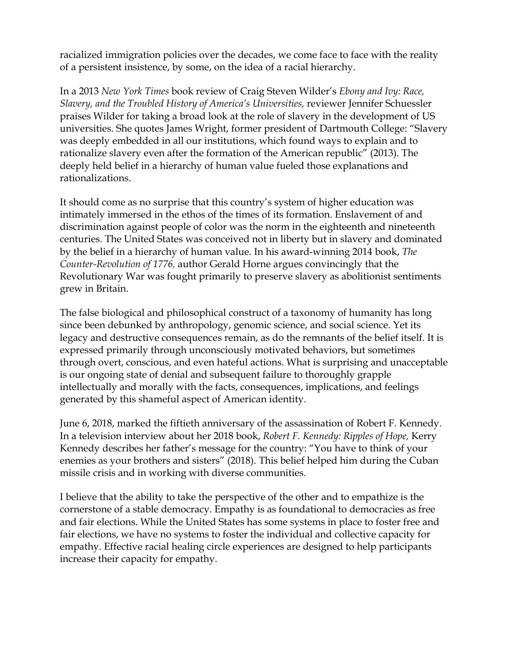racialized immigration policies over the decades, we come face to face with the reality of a persistent insistence, by some, on the idea of a racial hierarchy.

In a 2013 *New York Times* book review of Craig Steven Wilder's *Ebony and Ivy: Race, Slavery, and the Troubled History of America's Universities,* reviewer Jennifer Schuessler praises Wilder for taking a broad look at the role of slavery in the development of US universities. She quotes James Wright, former president of Dartmouth College: "Slavery was deeply embedded in all our institutions, which found ways to explain and to rationalize slavery even after the formation of the American republic" (2013). The deeply held belief in a hierarchy of human value fueled those explanations and rationalizations.

It should come as no surprise that this country's system of higher education was intimately immersed in the ethos of the times of its formation. Enslavement of and discrimination against people of color was the norm in the eighteenth and nineteenth centuries. The United States was conceived not in liberty but in slavery and dominated by the belief in a hierarchy of human value. In his award-winning 2014 book, *The Counter-Revolution of 1776,* author Gerald Horne argues convincingly that the Revolutionary War was fought primarily to preserve slavery as abolitionist sentiments grew in Britain.

The false biological and philosophical construct of a taxonomy of humanity has long since been debunked by anthropology, genomic science, and social science. Yet its legacy and destructive consequences remain, as do the remnants of the belief itself. It is expressed primarily through unconsciously motivated behaviors, but sometimes through overt, conscious, and even hateful actions. What is surprising and unacceptable is our ongoing state of denial and subsequent failure to thoroughly grapple intellectually and morally with the facts, consequences, implications, and feelings generated by this shameful aspect of American identity.

June 6, 2018, marked the fiftieth anniversary of the assassination of Robert F. Kennedy. In a television interview about her 2018 book, *Robert F. Kennedy: Ripples of Hope,* Kerry Kennedy describes her father's message for the country: "You have to think of your enemies as your brothers and sisters" (2018). This belief helped him during the Cuban missile crisis and in working with diverse communities.

I believe that the ability to take the perspective of the other and to empathize is the cornerstone of a stable democracy. Empathy is as foundational to democracies as free and fair elections. While the United States has some systems in place to foster free and fair elections, we have no systems to foster the individual and collective capacity for empathy. Effective racial healing circle experiences are designed to help participants increase their capacity for empathy.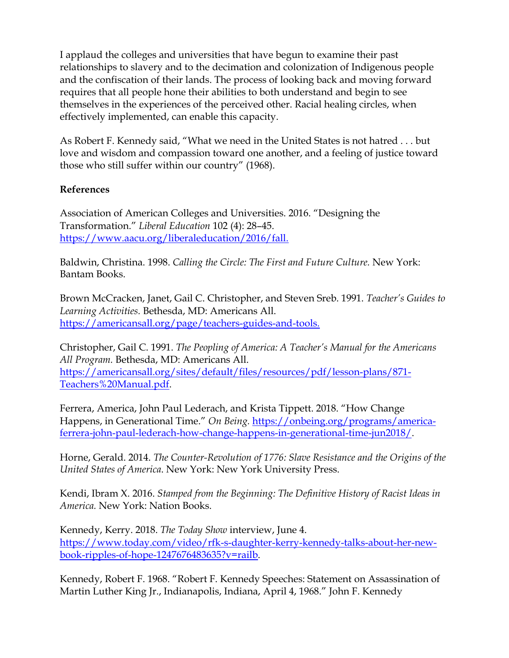I applaud the colleges and universities that have begun to examine their past relationships to slavery and to the decimation and colonization of Indigenous people and the confiscation of their lands. The process of looking back and moving forward requires that all people hone their abilities to both understand and begin to see themselves in the experiences of the perceived other. Racial healing circles, when effectively implemented, can enable this capacity.

As Robert F. Kennedy said, "What we need in the United States is not hatred . . . but love and wisdom and compassion toward one another, and a feeling of justice toward those who still suffer within our country" (1968).

## **References**

Association of American Colleges and Universities. 2016. "Designing the Transformation." *Liberal Education* 102 (4): 28–45. [https://www.aacu.org/liberaleducation/2016/fall.](https://www.aacu.org/liberaleducation/2016/fall) 

Baldwin, Christina. 1998. *Calling the Circle: The First and Future Culture.* New York: Bantam Books.

Brown McCracken, Janet, Gail C. Christopher, and Steven Sreb. 1991. *Teacher's Guides to Learning Activities.* Bethesda, MD: Americans All. [https://americansall.org/page/teachers-guides-and-tools.](https://americansall.org/page/teachers-guides-and-tools)

Christopher, Gail C. 1991. *The Peopling of America: A Teacher's Manual for the Americans All Program.* Bethesda, MD: Americans All. [https://americansall.org/sites/default/files/resources/pdf/lesson-plans/871-](https://americansall.org/sites/default/files/resources/pdf/lesson-plans/871-Teachers%20Manual.pdf) [Teachers%20Manual.pdf.](https://americansall.org/sites/default/files/resources/pdf/lesson-plans/871-Teachers%20Manual.pdf)

Ferrera, America, John Paul Lederach, and Krista Tippett. 2018. "How Change Happens, in Generational Time." *On Being.* [https://onbeing.org/programs/america](https://onbeing.org/programs/america-ferrera-john-paul-lederach-how-change-happens-in-generational-time-jun2018/)[ferrera-john-paul-lederach-how-change-happens-in-generational-time-jun2018/.](https://onbeing.org/programs/america-ferrera-john-paul-lederach-how-change-happens-in-generational-time-jun2018/)

Horne, Gerald. 2014. *The Counter-Revolution of 1776: Slave Resistance and the Origins of the United States of America*. New York: New York University Press.

Kendi, Ibram X. 2016. *Stamped from the Beginning: The Definitive History of Racist Ideas in America.* New York: Nation Books.

Kennedy, Kerry. 2018. *The Today Show* interview, June 4. [https://www.today.com/video/rfk-s-daughter-kerry-kennedy-talks-about-her-new](https://www.today.com/video/rfk-s-daughter-kerry-kennedy-talks-about-her-new-book-ripples-of-hope-1247676483635?v=railb)[book-ripples-of-hope-1247676483635?v=railb.](https://www.today.com/video/rfk-s-daughter-kerry-kennedy-talks-about-her-new-book-ripples-of-hope-1247676483635?v=railb)

Kennedy, Robert F. 1968. "Robert F. Kennedy Speeches: Statement on Assassination of Martin Luther King Jr., Indianapolis, Indiana, April 4, 1968." John F. Kennedy